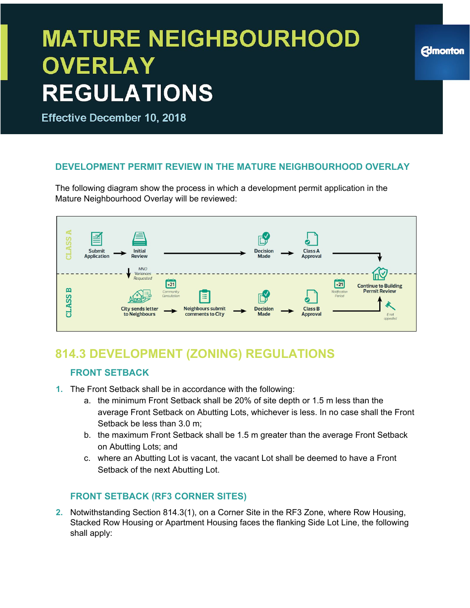**Effective December 10, 2018** 

#### **DEVELOPMENT PERMIT REVIEW IN THE MATURE NEIGHBOURHOOD OVERLAY**

The following diagram show the process in which a development permit application in the Mature Neighbourhood Overlay will be reviewed:



### **814.3 DEVELOPMENT (ZONING) REGULATIONS**

#### **FRONT SETBACK**

- **1.** The Front Setback shall be in accordance with the following:
	- a. the minimum Front Setback shall be 20% of site depth or 1.5 m less than the average Front Setback on Abutting Lots, whichever is less. In no case shall the Front Setback be less than 3.0 m;
	- b. the maximum Front Setback shall be 1.5 m greater than the average Front Setback on Abutting Lots; and
	- c. where an Abutting Lot is vacant, the vacant Lot shall be deemed to have a Front Setback of the next Abutting Lot.

#### **FRONT SETBACK (RF3 CORNER SITES)**

**2.** Notwithstanding Section 814.3(1), on a Corner Site in the RF3 Zone, where Row Housing, Stacked Row Housing or Apartment Housing faces the flanking Side Lot Line, the following shall apply:

### **Edmonton**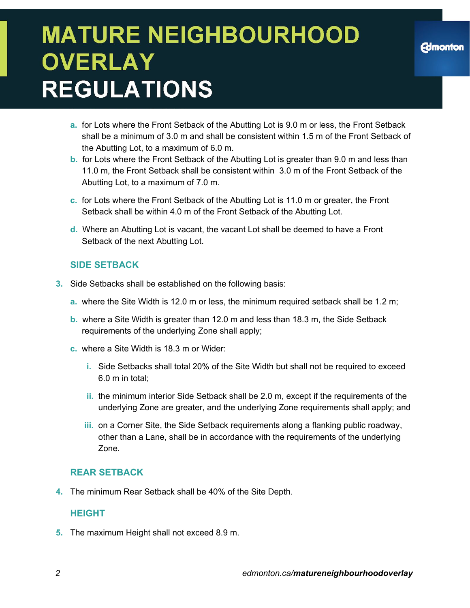- **a.** for Lots where the Front Setback of the Abutting Lot is 9.0 m or less, the Front Setback shall be a minimum of 3.0 m and shall be consistent within 1.5 m of the Front Setback of the Abutting Lot, to a maximum of 6.0 m.
- **b.** for Lots where the Front Setback of the Abutting Lot is greater than 9.0 m and less than 11.0 m, the Front Setback shall be consistent within 3.0 m of the Front Setback of the Abutting Lot, to a maximum of 7.0 m.
- **c.** for Lots where the Front Setback of the Abutting Lot is 11.0 m or greater, the Front Setback shall be within 4.0 m of the Front Setback of the Abutting Lot.
- **d.** Where an Abutting Lot is vacant, the vacant Lot shall be deemed to have a Front Setback of the next Abutting Lot.

#### **SIDE SETBACK**

- **3.** Side Setbacks shall be established on the following basis:
	- **a.** where the Site Width is 12.0 m or less, the minimum required setback shall be 1.2 m;
	- **b.** where a Site Width is greater than 12.0 m and less than 18.3 m, the Side Setback requirements of the underlying Zone shall apply;
	- **c.** where a Site Width is 18.3 m or Wider:
		- **i.** Side Setbacks shall total 20% of the Site Width but shall not be required to exceed 6.0 m in total;
		- **ii.** the minimum interior Side Setback shall be 2.0 m, except if the requirements of the underlying Zone are greater, and the underlying Zone requirements shall apply; and
		- **iii.** on a Corner Site, the Side Setback requirements along a flanking public roadway, other than a Lane, shall be in accordance with the requirements of the underlying Zone.

#### **REAR SETBACK**

**4.** The minimum Rear Setback shall be 40% of the Site Depth.

#### **HEIGHT**

**5.** The maximum Height shall not exceed 8.9 m.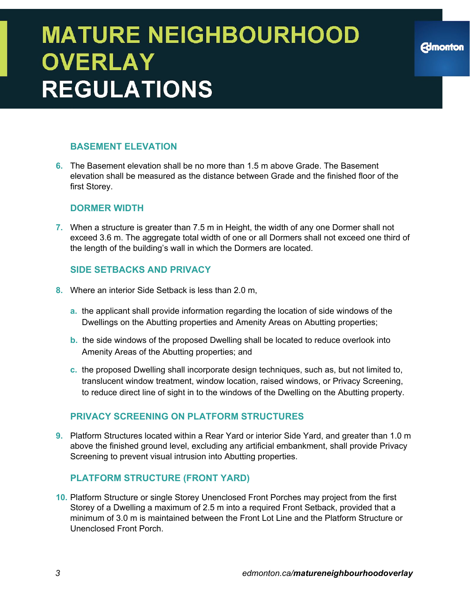#### **BASEMENT ELEVATION**

**6.** The Basement elevation shall be no more than 1.5 m above Grade. The Basement elevation shall be measured as the distance between Grade and the finished floor of the first Storey.

#### **DORMER WIDTH**

**7.** When a structure is greater than 7.5 m in Height, the width of any one Dormer shall not exceed 3.6 m. The aggregate total width of one or all Dormers shall not exceed one third of the length of the building's wall in which the Dormers are located.

#### **SIDE SETBACKS AND PRIVACY**

- **8.** Where an interior Side Setback is less than 2.0 m,
	- **a.** the applicant shall provide information regarding the location of side windows of the Dwellings on the Abutting properties and Amenity Areas on Abutting properties;
	- **b.** the side windows of the proposed Dwelling shall be located to reduce overlook into Amenity Areas of the Abutting properties; and
	- **c.** the proposed Dwelling shall incorporate design techniques, such as, but not limited to, translucent window treatment, window location, raised windows, or Privacy Screening, to reduce direct line of sight in to the windows of the Dwelling on the Abutting property.

#### **PRIVACY SCREENING ON PLATFORM STRUCTURES**

**9.** Platform Structures located within a Rear Yard or interior Side Yard, and greater than 1.0 m above the finished ground level, excluding any artificial embankment, shall provide Privacy Screening to prevent visual intrusion into Abutting properties.

#### **PLATFORM STRUCTURE (FRONT YARD)**

**10.** Platform Structure or single Storey Unenclosed Front Porches may project from the first Storey of a Dwelling a maximum of 2.5 m into a required Front Setback, provided that a minimum of 3.0 m is maintained between the Front Lot Line and the Platform Structure or Unenclosed Front Porch.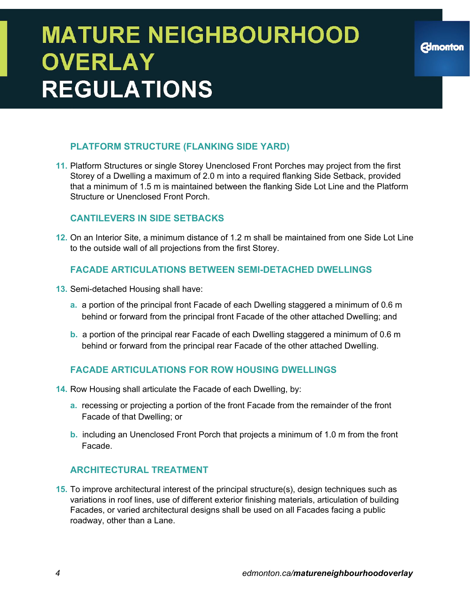#### **PLATFORM STRUCTURE (FLANKING SIDE YARD)**

**11.** Platform Structures or single Storey Unenclosed Front Porches may project from the first Storey of a Dwelling a maximum of 2.0 m into a required flanking Side Setback, provided that a minimum of 1.5 m is maintained between the flanking Side Lot Line and the Platform Structure or Unenclosed Front Porch.

#### **CANTILEVERS IN SIDE SETBACKS**

**12.** On an Interior Site, a minimum distance of 1.2 m shall be maintained from one Side Lot Line to the outside wall of all projections from the first Storey.

#### **FACADE ARTICULATIONS BETWEEN SEMI-DETACHED DWELLINGS**

- **13.** Semi-detached Housing shall have:
	- **a.** a portion of the principal front Facade of each Dwelling staggered a minimum of 0.6 m behind or forward from the principal front Facade of the other attached Dwelling; and
	- **b.** a portion of the principal rear Facade of each Dwelling staggered a minimum of 0.6 m behind or forward from the principal rear Facade of the other attached Dwelling.

#### **FACADE ARTICULATIONS FOR ROW HOUSING DWELLINGS**

- **14.** Row Housing shall articulate the Facade of each Dwelling, by:
	- **a.** recessing or projecting a portion of the front Facade from the remainder of the front Facade of that Dwelling; or
	- **b.** including an Unenclosed Front Porch that projects a minimum of 1.0 m from the front Facade.

#### **ARCHITECTURAL TREATMENT**

**15.** To improve architectural interest of the principal structure(s), design techniques such as variations in roof lines, use of different exterior finishing materials, articulation of building Facades, or varied architectural designs shall be used on all Facades facing a public roadway, other than a Lane.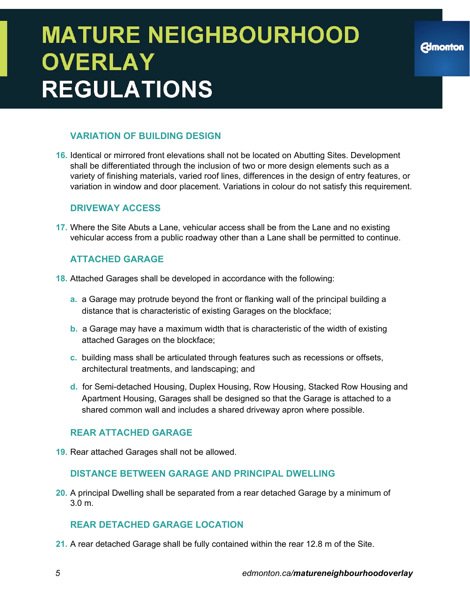#### **VARIATION OF BUILDING DESIGN**

**16.** Identical or mirrored front elevations shall not be located on Abutting Sites. Development shall be differentiated through the inclusion of two or more design elements such as a variety of finishing materials, varied roof lines, differences in the design of entry features, or variation in window and door placement. Variations in colour do not satisfy this requirement.

#### **DRIVEWAY ACCESS**

**17.** Where the Site Abuts a Lane, vehicular access shall be from the Lane and no existing vehicular access from a public roadway other than a Lane shall be permitted to continue.

#### **ATTACHED GARAGE**

- **18.** Attached Garages shall be developed in accordance with the following:
	- **a.** a Garage may protrude beyond the front or flanking wall of the principal building a distance that is characteristic of existing Garages on the blockface;
	- **b.** a Garage may have a maximum width that is characteristic of the width of existing attached Garages on the blockface;
	- **c.** building mass shall be articulated through features such as recessions or offsets, architectural treatments, and landscaping; and
	- **d.** for Semi-detached Housing, Duplex Housing, Row Housing, Stacked Row Housing and Apartment Housing, Garages shall be designed so that the Garage is attached to a shared common wall and includes a shared driveway apron where possible.

#### **REAR ATTACHED GARAGE**

**19.** Rear attached Garages shall not be allowed.

#### **DISTANCE BETWEEN GARAGE AND PRINCIPAL DWELLING**

**20.** A principal Dwelling shall be separated from a rear detached Garage by a minimum of 3.0 m.

#### **REAR DETACHED GARAGE LOCATION**

**21.** A rear detached Garage shall be fully contained within the rear 12.8 m of the Site.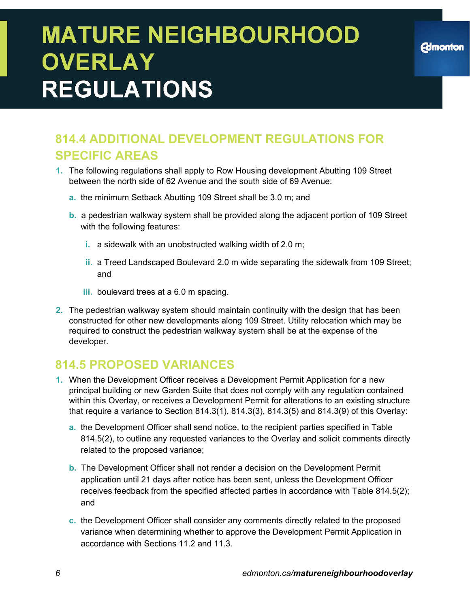### **814.4 ADDITIONAL DEVELOPMENT REGULATIONS FOR SPECIFIC AREAS**

- **1.** The following regulations shall apply to Row Housing development Abutting 109 Street between the north side of 62 Avenue and the south side of 69 Avenue:
	- **a.** the minimum Setback Abutting 109 Street shall be 3.0 m; and
	- **b.** a pedestrian walkway system shall be provided along the adjacent portion of 109 Street with the following features:
		- **i.** a sidewalk with an unobstructed walking width of 2.0 m;
		- **ii.** a Treed Landscaped Boulevard 2.0 m wide separating the sidewalk from 109 Street; and
		- **iii.** boulevard trees at a 6.0 m spacing.
- **2.** The pedestrian walkway system should maintain continuity with the design that has been constructed for other new developments along 109 Street. Utility relocation which may be required to construct the pedestrian walkway system shall be at the expense of the developer.

### **814.5 PROPOSED VARIANCES**

- **1.** When the Development Officer receives a Development Permit Application for a new principal building or new Garden Suite that does not comply with any regulation contained within this Overlay, or receives a Development Permit for alterations to an existing structure that require a variance to Section 814.3(1), 814.3(3), 814.3(5) and 814.3(9) of this Overlay:
	- **a.** the Development Officer shall send notice, to the recipient parties specified in Table 814.5(2), to outline any requested variances to the Overlay and solicit comments directly related to the proposed variance;
	- **b.** The Development Officer shall not render a decision on the Development Permit application until 21 days after notice has been sent, unless the Development Officer receives feedback from the specified affected parties in accordance with Table 814.5(2); and
	- **c.** the Development Officer shall consider any comments directly related to the proposed variance when determining whether to approve the Development Permit Application in accordance with Sections 11.2 and 11.3.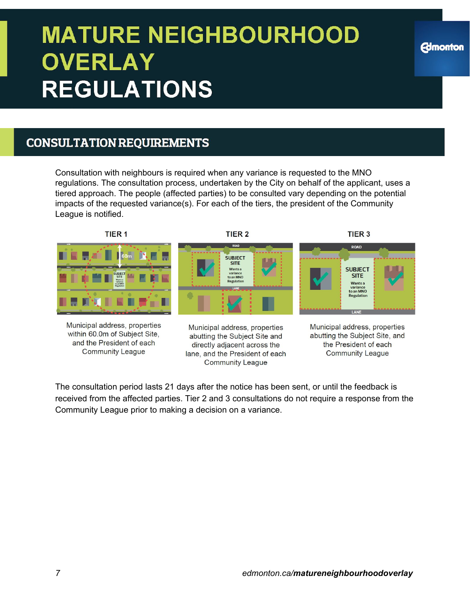### **CONSULTATION REQUIREMENTS**

Consultation with neighbours is required when any variance is requested to the MNO regulations. The consultation process, undertaken by the City on behalf of the applicant, uses a tiered approach. The people (affected parties) to be consulted vary depending on the potential impacts of the requested variance(s). For each of the tiers, the president of the Community League is notified.



and the President of each **Community League** 

directly adjacent across the lane, and the President of each **Community League** 

the President of each **Community League** 

**Edmonton** 

The consultation period lasts 21 days after the notice has been sent, or until the feedback is received from the affected parties. Tier 2 and 3 consultations do not require a response from the Community League prior to making a decision on a variance.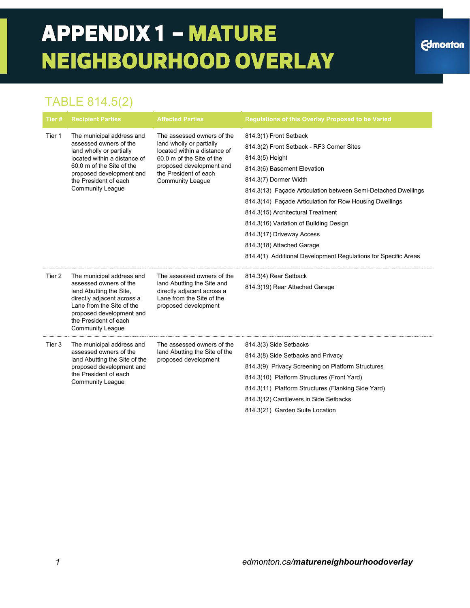### **APPENDIX 1 - MATURE NEIGHBOURHOOD OVERLAY**

### TABLE 814.5(2)

| Tier # | <b>Recipient Parties</b>                                                                                                                                                                                                     | <b>Affected Parties</b>                                                                                                                                                                             | <b>Regulations of this Overlay Proposed to be Varied</b>                                                                                                                                                                                                                                                                                                                                                                                                                              |
|--------|------------------------------------------------------------------------------------------------------------------------------------------------------------------------------------------------------------------------------|-----------------------------------------------------------------------------------------------------------------------------------------------------------------------------------------------------|---------------------------------------------------------------------------------------------------------------------------------------------------------------------------------------------------------------------------------------------------------------------------------------------------------------------------------------------------------------------------------------------------------------------------------------------------------------------------------------|
| Tier 1 | The municipal address and<br>assessed owners of the<br>land wholly or partially<br>located within a distance of<br>60.0 m of the Site of the<br>proposed development and<br>the President of each<br><b>Community League</b> | The assessed owners of the<br>land wholly or partially<br>located within a distance of<br>60.0 m of the Site of the<br>proposed development and<br>the President of each<br><b>Community League</b> | 814.3(1) Front Setback<br>814.3(2) Front Setback - RF3 Corner Sites<br>814.3(5) Height<br>814.3(6) Basement Elevation<br>814.3(7) Dormer Width<br>814.3(13) Façade Articulation between Semi-Detached Dwellings<br>814.3(14) Façade Articulation for Row Housing Dwellings<br>814.3(15) Architectural Treatment<br>814.3(16) Variation of Building Design<br>814.3(17) Driveway Access<br>814.3(18) Attached Garage<br>814.4(1) Additional Development Regulations for Specific Areas |
| Tier 2 | The municipal address and<br>assessed owners of the<br>land Abutting the Site,<br>directly adjacent across a<br>Lane from the Site of the<br>proposed development and<br>the President of each<br><b>Community League</b>    | The assessed owners of the<br>land Abutting the Site and<br>directly adjacent across a<br>Lane from the Site of the<br>proposed development                                                         | 814.3(4) Rear Setback<br>814.3(19) Rear Attached Garage                                                                                                                                                                                                                                                                                                                                                                                                                               |
| Tier 3 | The municipal address and<br>assessed owners of the<br>land Abutting the Site of the<br>proposed development and<br>the President of each<br><b>Community League</b>                                                         | The assessed owners of the<br>land Abutting the Site of the<br>proposed development                                                                                                                 | 814.3(3) Side Setbacks<br>814.3(8) Side Setbacks and Privacy<br>814.3(9) Privacy Screening on Platform Structures<br>814.3(10) Platform Structures (Front Yard)<br>814.3(11) Platform Structures (Flanking Side Yard)<br>814.3(12) Cantilevers in Side Setbacks<br>814.3(21) Garden Suite Location                                                                                                                                                                                    |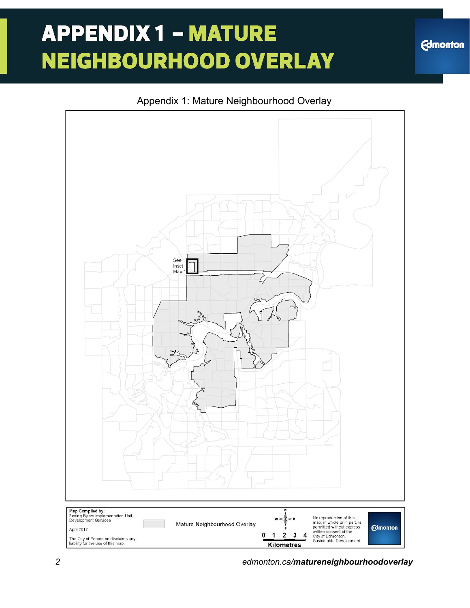# **APPENDIX 1 - MATURE NEIGHBOURHOOD OVERLAY**

**Edmonton**